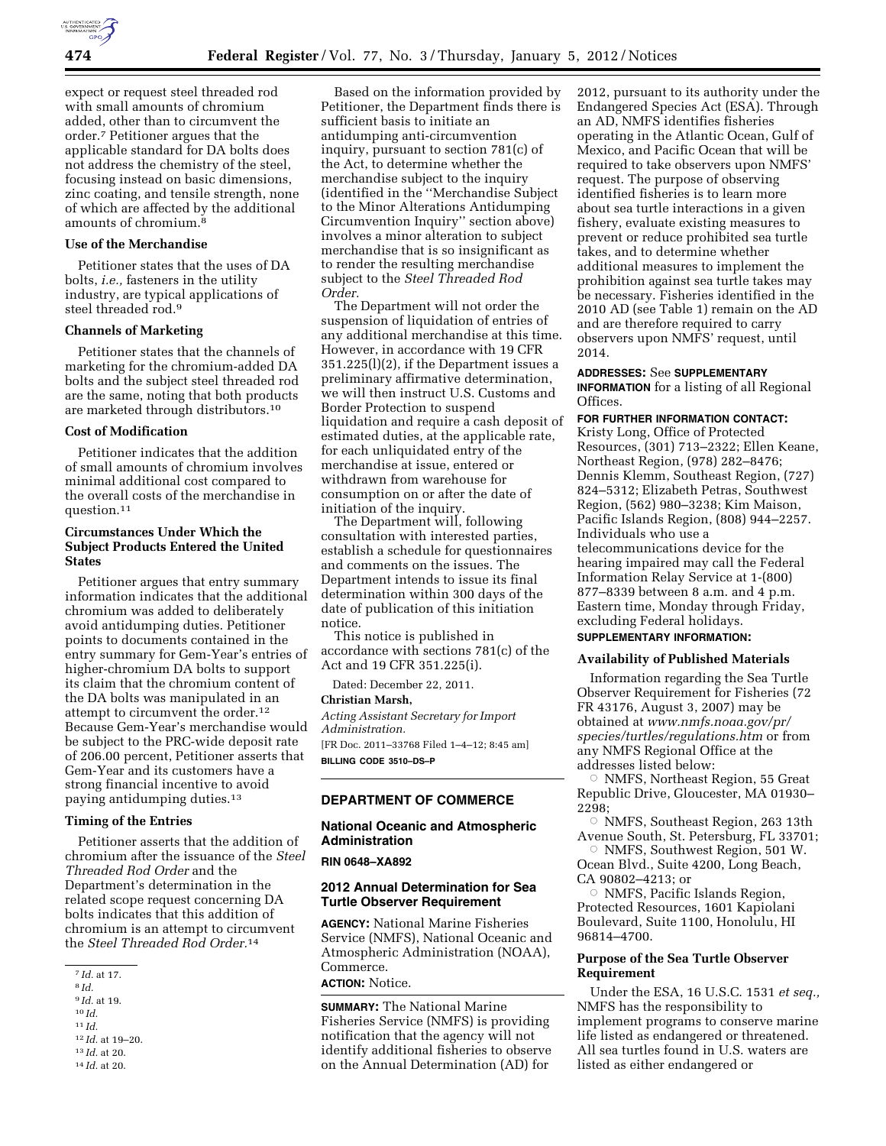expect or request steel threaded rod with small amounts of chromium added, other than to circumvent the order.7 Petitioner argues that the applicable standard for DA bolts does not address the chemistry of the steel, focusing instead on basic dimensions, zinc coating, and tensile strength, none of which are affected by the additional amounts of chromium.<sup>8</sup>

## **Use of the Merchandise**

Petitioner states that the uses of DA bolts, *i.e.,* fasteners in the utility industry, are typical applications of steel threaded rod.9

## **Channels of Marketing**

Petitioner states that the channels of marketing for the chromium-added DA bolts and the subject steel threaded rod are the same, noting that both products are marketed through distributors.10

### **Cost of Modification**

Petitioner indicates that the addition of small amounts of chromium involves minimal additional cost compared to the overall costs of the merchandise in question.11

## **Circumstances Under Which the Subject Products Entered the United States**

Petitioner argues that entry summary information indicates that the additional chromium was added to deliberately avoid antidumping duties. Petitioner points to documents contained in the entry summary for Gem-Year's entries of higher-chromium DA bolts to support its claim that the chromium content of the DA bolts was manipulated in an attempt to circumvent the order.<sup>12</sup> Because Gem-Year's merchandise would be subject to the PRC-wide deposit rate of 206.00 percent, Petitioner asserts that Gem-Year and its customers have a strong financial incentive to avoid paying antidumping duties.13

## **Timing of the Entries**

Petitioner asserts that the addition of chromium after the issuance of the *Steel Threaded Rod Order* and the Department's determination in the related scope request concerning DA bolts indicates that this addition of chromium is an attempt to circumvent the *Steel Threaded Rod Order.*14

- 9 *Id.* at 19.
- 10 *Id.*

11 *Id.* 

12 *Id.* at 19–20.

13 *Id.* at 20.

Based on the information provided by Petitioner, the Department finds there is sufficient basis to initiate an antidumping anti-circumvention inquiry, pursuant to section 781(c) of the Act, to determine whether the merchandise subject to the inquiry (identified in the ''Merchandise Subject to the Minor Alterations Antidumping Circumvention Inquiry'' section above) involves a minor alteration to subject merchandise that is so insignificant as to render the resulting merchandise subject to the *Steel Threaded Rod Order.* 

The Department will not order the suspension of liquidation of entries of any additional merchandise at this time. However, in accordance with 19 CFR 351.225(l)(2), if the Department issues a preliminary affirmative determination, we will then instruct U.S. Customs and Border Protection to suspend liquidation and require a cash deposit of estimated duties, at the applicable rate, for each unliquidated entry of the merchandise at issue, entered or withdrawn from warehouse for consumption on or after the date of initiation of the inquiry.

The Department will, following consultation with interested parties, establish a schedule for questionnaires and comments on the issues. The Department intends to issue its final determination within 300 days of the date of publication of this initiation notice.

This notice is published in accordance with sections 781(c) of the Act and 19 CFR 351.225(i).

Dated: December 22, 2011.

#### **Christian Marsh,**

*Acting Assistant Secretary for Import Administration.* 

[FR Doc. 2011–33768 Filed 1–4–12; 8:45 am] **BILLING CODE 3510–DS–P** 

## **DEPARTMENT OF COMMERCE**

# **National Oceanic and Atmospheric Administration**

#### **RIN 0648–XA892**

## **2012 Annual Determination for Sea Turtle Observer Requirement**

**AGENCY:** National Marine Fisheries Service (NMFS), National Oceanic and Atmospheric Administration (NOAA), Commerce.

# **ACTION:** Notice.

**SUMMARY:** The National Marine Fisheries Service (NMFS) is providing notification that the agency will not identify additional fisheries to observe on the Annual Determination (AD) for

2012, pursuant to its authority under the Endangered Species Act (ESA). Through an AD, NMFS identifies fisheries operating in the Atlantic Ocean, Gulf of Mexico, and Pacific Ocean that will be required to take observers upon NMFS' request. The purpose of observing identified fisheries is to learn more about sea turtle interactions in a given fishery, evaluate existing measures to prevent or reduce prohibited sea turtle takes, and to determine whether additional measures to implement the prohibition against sea turtle takes may be necessary. Fisheries identified in the 2010 AD (see Table 1) remain on the AD and are therefore required to carry observers upon NMFS' request, until 2014.

## **ADDRESSES:** See **SUPPLEMENTARY**

**INFORMATION** for a listing of all Regional Offices.

# **FOR FURTHER INFORMATION CONTACT:**

Kristy Long, Office of Protected Resources, (301) 713–2322; Ellen Keane, Northeast Region, (978) 282–8476; Dennis Klemm, Southeast Region, (727) 824–5312; Elizabeth Petras, Southwest Region, (562) 980–3238; Kim Maison, Pacific Islands Region, (808) 944–2257. Individuals who use a telecommunications device for the hearing impaired may call the Federal Information Relay Service at 1-(800) 877–8339 between 8 a.m. and 4 p.m. Eastern time, Monday through Friday, excluding Federal holidays.

# **SUPPLEMENTARY INFORMATION:**

## **Availability of Published Materials**

Information regarding the Sea Turtle Observer Requirement for Fisheries (72 FR 43176, August 3, 2007) may be obtained at *[www.nmfs.noaa.gov/pr/](http://www.nmfs.noaa.gov/pr/species/turtles/regulations.htm)  [species/turtles/regulations.htm](http://www.nmfs.noaa.gov/pr/species/turtles/regulations.htm)* or from any NMFS Regional Office at the addresses listed below:

Æ NMFS, Northeast Region, 55 Great Republic Drive, Gloucester, MA 01930– 2298;

 $\circ$  NMFS, Southeast Region, 263 13th Avenue South, St. Petersburg, FL 33701;

 $\circ$  NMFS, Southwest Region, 501 W. Ocean Blvd., Suite 4200, Long Beach, CA 90802–4213; or

 $\circ$  NMFS, Pacific Islands Region, Protected Resources, 1601 Kapiolani Boulevard, Suite 1100, Honolulu, HI 96814–4700.

## **Purpose of the Sea Turtle Observer Requirement**

Under the ESA, 16 U.S.C. 1531 *et seq.,*  NMFS has the responsibility to implement programs to conserve marine life listed as endangered or threatened. All sea turtles found in U.S. waters are listed as either endangered or

<sup>7</sup> *Id.* at 17.

<sup>8</sup> *Id.* 

<sup>14</sup> *Id.* at 20.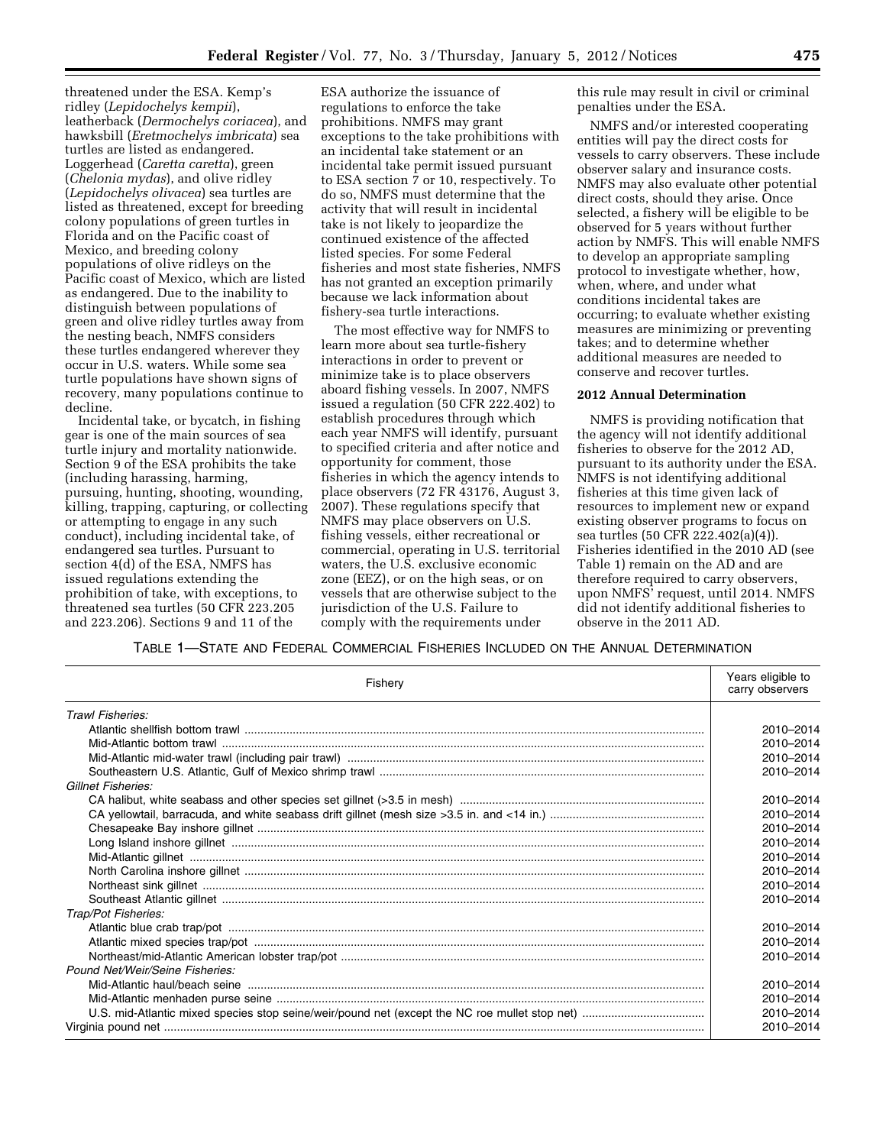threatened under the ESA. Kemp's ridley (*Lepidochelys kempii*), leatherback (*Dermochelys coriacea*), and hawksbill (*Eretmochelys imbricata*) sea turtles are listed as endangered. Loggerhead (*Caretta caretta*), green (*Chelonia mydas*), and olive ridley (*Lepidochelys olivacea*) sea turtles are listed as threatened, except for breeding colony populations of green turtles in Florida and on the Pacific coast of Mexico, and breeding colony populations of olive ridleys on the Pacific coast of Mexico, which are listed as endangered. Due to the inability to distinguish between populations of green and olive ridley turtles away from the nesting beach, NMFS considers these turtles endangered wherever they occur in U.S. waters. While some sea turtle populations have shown signs of recovery, many populations continue to decline.

Incidental take, or bycatch, in fishing gear is one of the main sources of sea turtle injury and mortality nationwide. Section 9 of the ESA prohibits the take (including harassing, harming, pursuing, hunting, shooting, wounding, killing, trapping, capturing, or collecting or attempting to engage in any such conduct), including incidental take, of endangered sea turtles. Pursuant to section 4(d) of the ESA, NMFS has issued regulations extending the prohibition of take, with exceptions, to threatened sea turtles (50 CFR 223.205 and 223.206). Sections 9 and 11 of the

ESA authorize the issuance of regulations to enforce the take prohibitions. NMFS may grant exceptions to the take prohibitions with an incidental take statement or an incidental take permit issued pursuant to ESA section 7 or 10, respectively. To do so, NMFS must determine that the activity that will result in incidental take is not likely to jeopardize the continued existence of the affected listed species. For some Federal fisheries and most state fisheries, NMFS has not granted an exception primarily because we lack information about fishery-sea turtle interactions.

The most effective way for NMFS to learn more about sea turtle-fishery interactions in order to prevent or minimize take is to place observers aboard fishing vessels. In 2007, NMFS issued a regulation (50 CFR 222.402) to establish procedures through which each year NMFS will identify, pursuant to specified criteria and after notice and opportunity for comment, those fisheries in which the agency intends to place observers (72 FR 43176, August 3, 2007). These regulations specify that NMFS may place observers on U.S. fishing vessels, either recreational or commercial, operating in U.S. territorial waters, the U.S. exclusive economic zone (EEZ), or on the high seas, or on vessels that are otherwise subject to the jurisdiction of the U.S. Failure to comply with the requirements under

this rule may result in civil or criminal penalties under the ESA.

NMFS and/or interested cooperating entities will pay the direct costs for vessels to carry observers. These include observer salary and insurance costs. NMFS may also evaluate other potential direct costs, should they arise. Once selected, a fishery will be eligible to be observed for 5 years without further action by NMFS. This will enable NMFS to develop an appropriate sampling protocol to investigate whether, how, when, where, and under what conditions incidental takes are occurring; to evaluate whether existing measures are minimizing or preventing takes; and to determine whether additional measures are needed to conserve and recover turtles.

### **2012 Annual Determination**

NMFS is providing notification that the agency will not identify additional fisheries to observe for the 2012 AD, pursuant to its authority under the ESA. NMFS is not identifying additional fisheries at this time given lack of resources to implement new or expand existing observer programs to focus on sea turtles (50 CFR 222.402(a)(4)). Fisheries identified in the 2010 AD (see Table 1) remain on the AD and are therefore required to carry observers, upon NMFS' request, until 2014. NMFS did not identify additional fisheries to observe in the 2011 AD.

TABLE 1—STATE AND FEDERAL COMMERCIAL FISHERIES INCLUDED ON THE ANNUAL DETERMINATION

| Fishery                         | Years eligible to<br>carry observers |
|---------------------------------|--------------------------------------|
| Trawl Fisheries:                |                                      |
|                                 | 2010-2014                            |
|                                 | 2010-2014                            |
|                                 | 2010-2014                            |
|                                 | 2010-2014                            |
| Gillnet Fisheries:              |                                      |
|                                 | 2010-2014                            |
|                                 | 2010-2014                            |
|                                 | 2010-2014                            |
|                                 | 2010-2014                            |
|                                 | 2010-2014                            |
|                                 | 2010-2014                            |
|                                 | 2010-2014                            |
|                                 | 2010-2014                            |
| Trap/Pot Fisheries:             |                                      |
|                                 | 2010-2014                            |
|                                 | 2010-2014                            |
|                                 | 2010-2014                            |
| Pound Net/Weir/Seine Fisheries: |                                      |
|                                 | 2010-2014                            |
|                                 | 2010-2014                            |
|                                 | 2010-2014                            |
|                                 | 2010-2014                            |